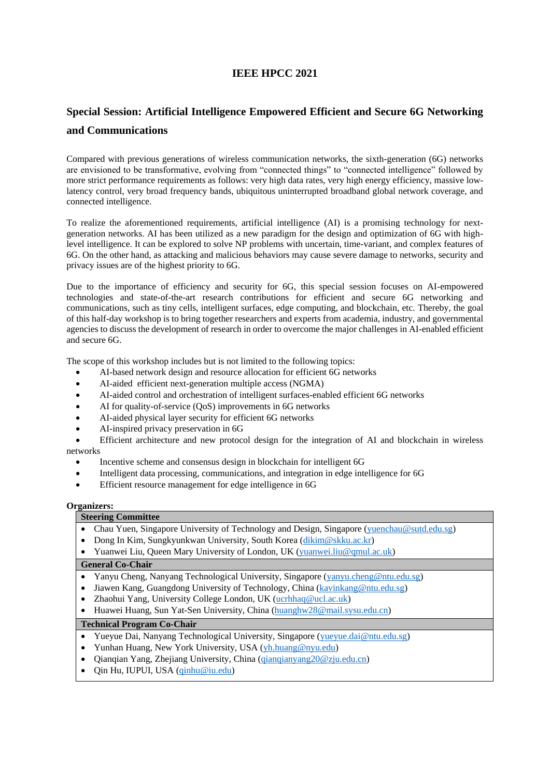# **IEEE HPCC 2021**

# **Special Session: Artificial Intelligence Empowered Efficient and Secure 6G Networking and Communications**

Compared with previous generations of wireless communication networks, the sixth-generation (6G) networks are envisioned to be transformative, evolving from "connected things" to "connected intelligence" followed by more strict performance requirements as follows: very high data rates, very high energy efficiency, massive lowlatency control, very broad frequency bands, ubiquitous uninterrupted broadband global network coverage, and connected intelligence.

To realize the aforementioned requirements, artificial intelligence (AI) is a promising technology for nextgeneration networks. AI has been utilized as a new paradigm for the design and optimization of 6G with highlevel intelligence. It can be explored to solve NP problems with uncertain, time-variant, and complex features of 6G. On the other hand, as attacking and malicious behaviors may cause severe damage to networks, security and privacy issues are of the highest priority to 6G.

Due to the importance of efficiency and security for 6G, this special session focuses on AI-empowered technologies and state-of-the-art research contributions for efficient and secure 6G networking and communications, such as tiny cells, intelligent surfaces, edge computing, and blockchain, etc. Thereby, the goal of this half-day workshop is to bring together researchers and experts from academia, industry, and governmental agencies to discuss the development of research in order to overcome the major challenges in AI-enabled efficient and secure 6G.

The scope of this workshop includes but is not limited to the following topics:

- AI-based network design and resource allocation for efficient 6G networks
- AI-aided efficient next-generation multiple access (NGMA)
- AI-aided control and orchestration of intelligent surfaces-enabled efficient 6G networks
- AI for quality-of-service (QoS) improvements in 6G networks
- AI-aided physical layer security for efficient 6G networks
- AI-inspired privacy preservation in 6G

• Efficient architecture and new protocol design for the integration of AI and blockchain in wireless networks

- Incentive scheme and consensus design in blockchain for intelligent 6G
- Intelligent data processing, communications, and integration in edge intelligence for 6G
- Efficient resource management for edge intelligence in 6G

#### **Organizers:**

### **Steering Committee**

- Chau Yuen, Singapore University of Technology and Design, Singapore [\(yuenchau@sutd.edu.sg\)](mailto:yuenchau@sutd.edu.sg)
- Dong In Kim, Sungkyunkwan University, South Korea [\(dikim@skku.ac.kr\)](mailto:dikim@skku.ac.kr)
- Yuanwei Liu, Queen Mary University of London, UK [\(yuanwei.liu@qmul.ac.uk\)](mailto:yuanwei.liu@qmul.ac.uk)

## **General Co-Chair**

- Yanyu Cheng, Nanyang Technological University, Singapore [\(yanyu.cheng@ntu.edu.sg\)](mailto:yanyu.cheng@ntu.edu.sg)
- Jiawen Kang, Guangdong University of Technology, China [\(kavinkang@ntu.edu.sg\)](mailto:kavinkang@ntu.edu.sg)
- Zhaohui Yang, University College London, UK [\(ucrhhaq@ucl.ac.uk\)](mailto:ucrhhaq@ucl.ac.uk)
- Huawei Huang, Sun Yat-Sen University, China [\(huanghw28@mail.sysu.edu.cn\)](mailto:huanghw28@mail.sysu.edu.cn)

#### **Technical Program Co-Chair**

- Yueyue Dai, Nanyang Technological University, Singapore [\(yueyue.dai@ntu.edu.sg\)](mailto:yueyue.dai@ntu.edu.sg)
- Yunhan Huang, New York University, USA [\(yh.huang@nyu.edu\)](mailto:yh.huang@nyu.edu)
- Qianqian Yang, Zhejiang University, China [\(qianqianyang20@zju.edu.cn\)](mailto:qianqianyang20@zju.edu.cn)
- Qin Hu, IUPUI, USA [\(qinhu@iu.edu\)](mailto:qinhu@iu.edu)